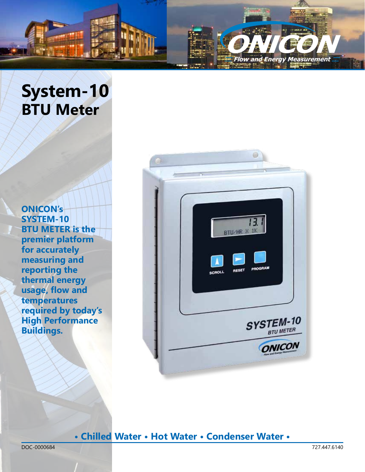

# **System-10 BTU Meter**

**ONICON's SYSTEM-10 BTU METER is the premier platform for accurately measuring and reporting the thermal energy usage, flow and temperatures required by today's High Performance Buildings.** 



### **• Chilled Water • Hot Water • Condenser Water •**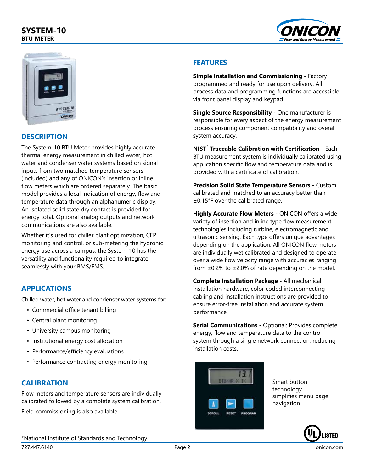### **SYSTEM-10 BTU METER**





### **DESCRIPTION**

The System-10 BTU Meter provides highly accurate thermal energy measurement in chilled water, hot water and condenser water systems based on signal inputs from two matched temperature sensors (included) and any of ONICON's insertion or inline flow meters which are ordered separately. The basic model provides a local indication of energy, flow and temperature data through an alphanumeric display. An isolated solid state dry contact is provided for energy total. Optional analog outputs and network communications are also available.

Whether it's used for chiller plant optimization, CEP monitoring and control, or sub-metering the hydronic energy use across a campus, the System-10 has the versatility and functionality required to integrate seamlessly with your BMS/EMS.

### **APPLICATIONS**

Chilled water, hot water and condenser water systems for:

- Commercial office tenant billing
- Central plant monitoring
- University campus monitoring
- Institutional energy cost allocation
- Performance/efficiency evaluations
- Performance contracting energy monitoring

### **CALIBRATION**

Flow meters and temperature sensors are individually calibrated followed by a complete system calibration.

Field commissioning is also available.

\*National Institute of Standards and Technology

#### **FEATURES**

**Simple Installation and Commissioning - Factory** programmed and ready for use upon delivery. All process data and programming functions are accessible via front panel display and keypad.

**Single Source Responsibility -** One manufacturer is responsible for every aspect of the energy measurement process ensuring component compatibility and overall system accuracy.

**NIST**\*  **Traceable Calibration with Certification -** Each BTU measurement system is individually calibrated using application specific flow and temperature data and is provided with a certificate of calibration.

**Precision Solid State Temperature Sensors -** Custom calibrated and matched to an accuracy better than ±0.15°F over the calibrated range.

**Highly Accurate Flow Meters -** ONICON offers a wide variety of insertion and inline type flow measurement technologies including turbine, electromagnetic and ultrasonic sensing. Each type offers unique advantages depending on the application. All ONICON flow meters are individually wet calibrated and designed to operate over a wide flow velocity range with accuracies ranging from  $\pm 0.2\%$  to  $\pm 2.0\%$  of rate depending on the model.

**Complete Installation Package -** All mechanical installation hardware, color coded interconnecting cabling and installation instructions are provided to ensure error-free installation and accurate system performance.

**Serial Communications -** Optional: Provides complete energy, flow and temperature data to the control system through a single network connection, reducing installation costs.



Smart button technology simplifies menu page navigation

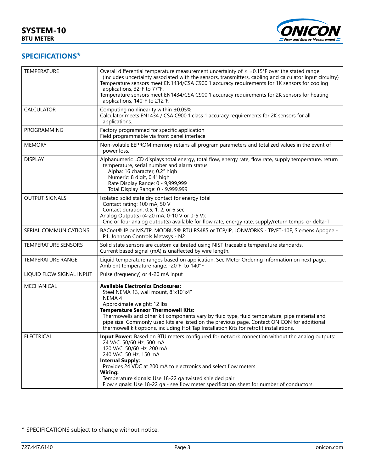

### **SPECIFICATIONS\***

| <b>TEMPERATURE</b>         | Overall differential temperature measurement uncertainty of $\leq \pm 0.15$ °F over the stated range<br>(Includes uncertainty associated with the sensors, transmitters, cabling and calculator input circuitry)<br>Temperature sensors meet EN1434/CSA C900.1 accuracy requirements for 1K sensors for cooling<br>applications, 32°F to 77°F.<br>Temperature sensors meet EN1434/CSA C900.1 accuracy requirements for 2K sensors for heating<br>applications, 140°F to 212°F. |
|----------------------------|--------------------------------------------------------------------------------------------------------------------------------------------------------------------------------------------------------------------------------------------------------------------------------------------------------------------------------------------------------------------------------------------------------------------------------------------------------------------------------|
| <b>CALCULATOR</b>          | Computing nonlinearity within ±0.05%<br>Calculator meets EN1434 / CSA C900.1 class 1 accuracy requirements for 2K sensors for all<br>applications.                                                                                                                                                                                                                                                                                                                             |
| <b>PROGRAMMING</b>         | Factory programmed for specific application<br>Field programmable via front panel interface                                                                                                                                                                                                                                                                                                                                                                                    |
| <b>MEMORY</b>              | Non-volatile EEPROM memory retains all program parameters and totalized values in the event of<br>power loss.                                                                                                                                                                                                                                                                                                                                                                  |
| <b>DISPLAY</b>             | Alphanumeric LCD displays total energy, total flow, energy rate, flow rate, supply temperature, return<br>temperature, serial number and alarm status<br>Alpha: 16 character, 0.2" high<br>Numeric: 8 digit, 0.4" high<br>Rate Display Range: 0 - 9,999,999<br>Total Display Range: 0 - 9,999,999                                                                                                                                                                              |
| <b>OUTPUT SIGNALS</b>      | Isolated solid state dry contact for energy total<br>Contact rating: 100 mA, 50 V<br>Contact duration: 0.5, 1, 2, or 6 sec<br>Analog Output(s) (4-20 mA, 0-10 V or 0-5 V):<br>One or four analog output(s) available for flow rate, energy rate, supply/return temps, or delta-T                                                                                                                                                                                               |
| SERIAL COMMUNICATIONS      | BACnet® IP or MS/TP, MODBUS® RTU RS485 or TCP/IP, LONWORKS - TP/FT-10F, Siemens Apogee -<br>P1, Johnson Controls Metasys - N2                                                                                                                                                                                                                                                                                                                                                  |
| <b>TEMPERATURE SENSORS</b> | Solid state sensors are custom calibrated using NIST traceable temperature standards.<br>Current based signal (mA) is unaffected by wire length.                                                                                                                                                                                                                                                                                                                               |
| <b>TEMPERATURE RANGE</b>   | Liquid temperature ranges based on application. See Meter Ordering Information on next page.<br>Ambient temperature range: -20°F to 140°F                                                                                                                                                                                                                                                                                                                                      |
| LIQUID FLOW SIGNAL INPUT   | Pulse (frequency) or 4-20 mA input                                                                                                                                                                                                                                                                                                                                                                                                                                             |
| <b>MECHANICAL</b>          | <b>Available Electronics Enclosures:</b><br>Steel NEMA 13, wall mount, 8"x10"x4"<br>NEMA <sub>4</sub><br>Approximate weight: 12 lbs<br><b>Temperature Sensor Thermowell Kits:</b><br>Thermowells and other kit components vary by fluid type, fluid temperature, pipe material and<br>pipe size. Commonly used kits are listed on the previous page. Contact ONICON for additional<br>thermowell kit options, including Hot Tap Installation Kits for retrofit installations.  |
| <b>ELECTRICAL</b>          | Input Power: Based on BTU meters configured for network connection without the analog outputs:<br>24 VAC, 50/60 Hz, 500 mA<br>120 VAC, 50/60 Hz, 200 mA<br>240 VAC, 50 Hz, 150 mA<br><b>Internal Supply:</b><br>Provides 24 VDC at 200 mA to electronics and select flow meters<br>Wiring:<br>Temperature signals: Use 18-22 ga twisted shielded pair<br>Flow signals: Use 18-22 ga - see flow meter specification sheet for number of conductors.                             |

\* SPECIFICATIONS subject to change without notice.